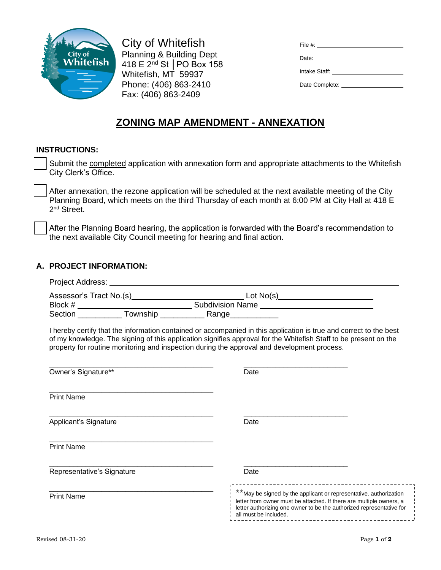

City of Whitefish Planning & Building Dept 418 E 2nd St │PO Box 158 Whitefish, MT 59937 Phone: (406) 863-2410 Fax: (406) 863-2409

| Date: <u>__________</u>                                                                                                                                                                                                       |
|-------------------------------------------------------------------------------------------------------------------------------------------------------------------------------------------------------------------------------|
| Intake Staff: The Contract of the Contract of the Contract of the Contract of the Contract of the Contract of the Contract of the Contract of the Contract of the Contract of the Contract of the Contract of the Contract of |
|                                                                                                                                                                                                                               |
|                                                                                                                                                                                                                               |

# **ZONING MAP AMENDMENT - ANNEXATION**

#### **INSTRUCTIONS:**

| Submit the completed application with annexation form and appropriate attachments to the Whitefish |
|----------------------------------------------------------------------------------------------------|
| City Clerk's Office.                                                                               |

After annexation, the rezone application will be scheduled at the next available meeting of the City Planning Board, which meets on the third Thursday of each month at 6:00 PM at City Hall at 418 E 2<sup>nd</sup> Street.

After the Planning Board hearing, the application is forwarded with the Board's recommendation to the next available City Council meeting for hearing and final action.

### **A. PROJECT INFORMATION:**

| property for routine monitoring and inspection during the approval and development process. | I hereby certify that the information contained or accompanied in this application is true and correct to the best<br>of my knowledge. The signing of this application signifies approval for the Whitefish Staff to be present on the                                         |
|---------------------------------------------------------------------------------------------|--------------------------------------------------------------------------------------------------------------------------------------------------------------------------------------------------------------------------------------------------------------------------------|
| Owner's Signature**                                                                         | Date                                                                                                                                                                                                                                                                           |
| <b>Print Name</b>                                                                           |                                                                                                                                                                                                                                                                                |
| Applicant's Signature                                                                       | Date                                                                                                                                                                                                                                                                           |
| <b>Print Name</b>                                                                           |                                                                                                                                                                                                                                                                                |
| Representative's Signature                                                                  | Date                                                                                                                                                                                                                                                                           |
| <b>Print Name</b>                                                                           | ________________________________<br>** May be signed by the applicant or representative, authorization<br>letter from owner must be attached. If there are multiple owners, a<br>letter authorizing one owner to be the authorized representative for<br>all must be included. |